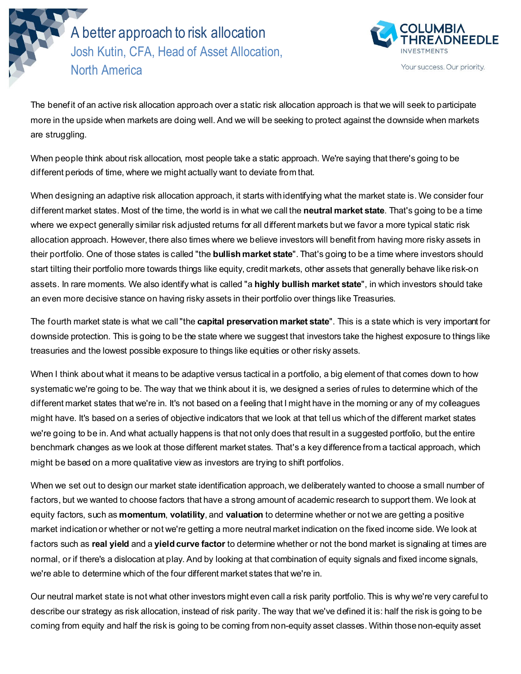**North America** A better approach to risk allocation Josh Kutin, CFA, Head of Asset Allocation,



The benefit of an active risk allocation approach over a static risk allocation approach is that we will seek to participate more in the upside when markets are doing well. And we will be seeking to protect against the downside when markets are struggling.

When people think about risk allocation, most people take a static approach. We're saying that there's going to be different periods of time, where we might actually want to deviate from that.

When designing an adaptive risk allocation approach, it starts with identifying what the market state is. We consider four different market states. Most of the time, the world is in what we call the **neutral market state**. That's going to be a time where we expect generally similar risk adjusted returns for all different markets but we favor a more typical static risk allocation approach. However, there also times where we believe investors will benefit from having more risky assets in their portfolio. One of those states is called "the **bullish market state**". That's going to be a time where investors should start tilting their portfolio more towards things like equity, credit markets, other assets that generally behave like risk-on assets. In rare moments. We also identify what is called "a **highly bullish market state**", in which investors should take an even more decisive stance on having risky assets in their portfolio over things like Treasuries.

The fourth market state is what we call "the **capital preservation market state**". This is a state which is very important for downside protection. This is going to be the state where we suggest that investors take the highest exposure to things like treasuries and the lowest possible exposure to things like equities or other risky assets.

When I think about what it means to be adaptive versus tactical in a portfolio, a big element of that comes down to how systematic we're going to be. The way that we think about it is, we designed a series of rules to determine which of the different market states that we're in. It's not based on a feeling that I might have in the morning or any of my colleagues might have. It's based on a series of objective indicators that we look at that tell us which of the different market states we're going to be in. And what actually happens is that not only does that result in a suggested portfolio, but the entire benchmark changes as we look at those different market states. That's a key difference from a tactical approach, which might be based on a more qualitative view as investors are trying to shift portfolios.

When we set out to design our market state identification approach, we deliberately wanted to choose a small number of factors, but we wanted to choose factors that have a strong amount of academic research to support them. We look at equity factors, such as **momentum**, **volatility**, and **valuation** to determine whether or not we are getting a positive market indication or whether or not we're getting a more neutral market indication on the fixed income side. We look at factors such as **real yield** and a **yield curve factor** to determine whether or not the bond market is signaling at times are normal, or if there's a dislocation at play. And by looking at that combination of equity signals and fixed income signals, we're able to determine which of the four different market states that we're in.

Our neutral market state is not what other investors might even call a risk parity portfolio. This is why we're very careful to describe our strategy as risk allocation, instead of risk parity. The way that we've defined it is: half the risk is going to be coming from equity and half the risk is going to be coming from non-equity asset classes. Within those non-equity asset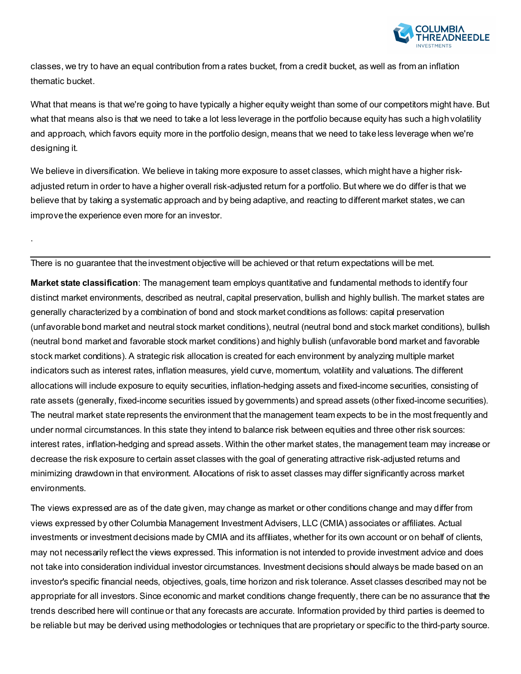

classes, we try to have an equal contribution from a rates bucket, from a credit bucket, as well as from an inflation thematic bucket.

What that means is that we're going to have typically a higher equity weight than some of our competitors might have. But what that means also is that we need to take a lot less leverage in the portfolio because equity has such a high volatility and approach, which favors equity more in the portfolio design, means that we need to take less leverage when we're designing it.

We believe in diversification. We believe in taking more exposure to asset classes, which might have a higher riskadjusted return in order to have a higher overall risk-adjusted return for a portfolio. But where we do differ is that we believe that by taking a systematic approach and by being adaptive, and reacting to different market states, we can improve the experience even more for an investor.

There is no guarantee that the investment objective will be achieved or that return expectations will be met.

.

**Market state classification**: The management team employs quantitative and fundamental methods to identify four distinct market environments, described as neutral, capital preservation, bullish and highly bullish. The market states are generally characterized by a combination of bond and stock market conditions as follows: capital preservation (unfavorable bond market and neutral stock market conditions), neutral (neutral bond and stock market conditions), bullish (neutral bond market and favorable stock market conditions) and highly bullish (unfavorable bond market and favorable stock market conditions). A strategic risk allocation is created for each environment by analyzing multiple market indicators such as interest rates, inflation measures, yield curve, momentum, volatility and valuations. The different allocations will include exposure to equity securities, inflation-hedging assets and fixed-income securities, consisting of rate assets (generally, fixed-income securities issued by governments) and spread assets (other fixed-income securities). The neutral market state represents the environment that the management team expects to be in the most frequently and under normal circumstances. In this state they intend to balance risk between equities and three other risk sources: interest rates, inflation-hedging and spread assets. Within the other market states, the management team may increase or decrease the risk exposure to certain asset classes with the goal of generating attractive risk-adjusted returns and minimizing drawdown in that environment. Allocations of risk to asset classes may differ significantly across market environments.

The views expressed are as of the date given, may change as market or other conditions change and may differ from views expressed by other Columbia Management Investment Advisers, LLC (CMIA) associates or affiliates. Actual investments or investment decisions made by CMIA and its affiliates, whether for its own account or on behalf of clients, may not necessarily reflect the views expressed. This information is not intended to provide investment advice and does not take into consideration individual investor circumstances. Investment decisions should always be made based on an investor's specific financial needs, objectives, goals, time horizon and risk tolerance. Asset classes described may not be appropriate for all investors. Since economic and market conditions change frequently, there can be no assurance that the trends described here will continue or that any forecasts are accurate. Information provided by third parties is deemed to be reliable but may be derived using methodologies or techniques that are proprietary or specific to the third-party source.